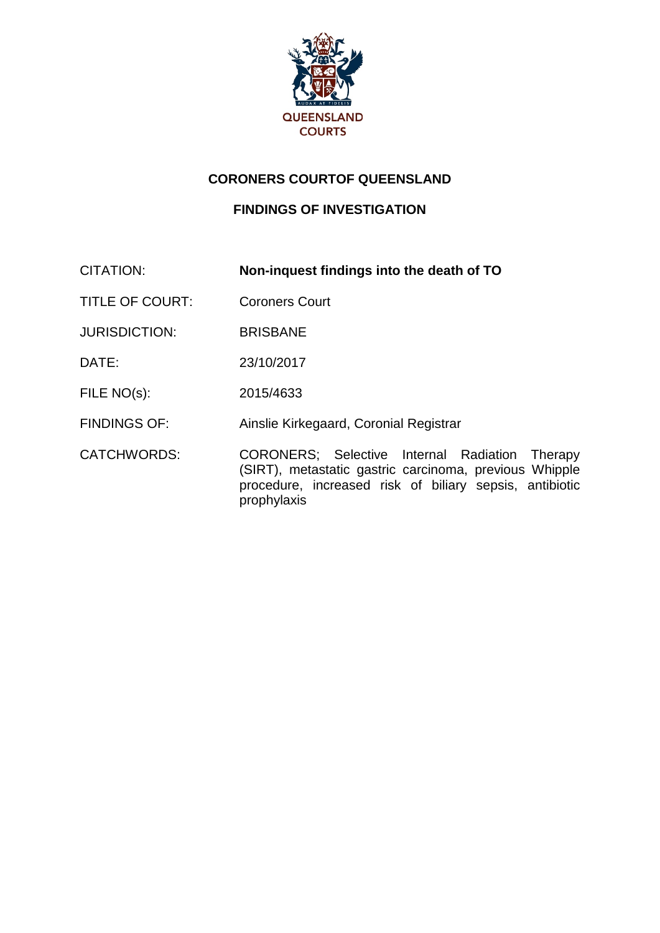

## **CORONERS COURTOF QUEENSLAND**

## **FINDINGS OF INVESTIGATION**

CITATION: **Non-inquest findings into the death of TO**

TITLE OF COURT: Coroners Court

JURISDICTION: BRISBANE

DATE: 23/10/2017

FILE NO(s): 2015/4633

FINDINGS OF: Ainslie Kirkegaard, Coronial Registrar

CATCHWORDS: CORONERS; Selective Internal Radiation Therapy (SIRT), metastatic gastric carcinoma, previous Whipple procedure, increased risk of biliary sepsis, antibiotic prophylaxis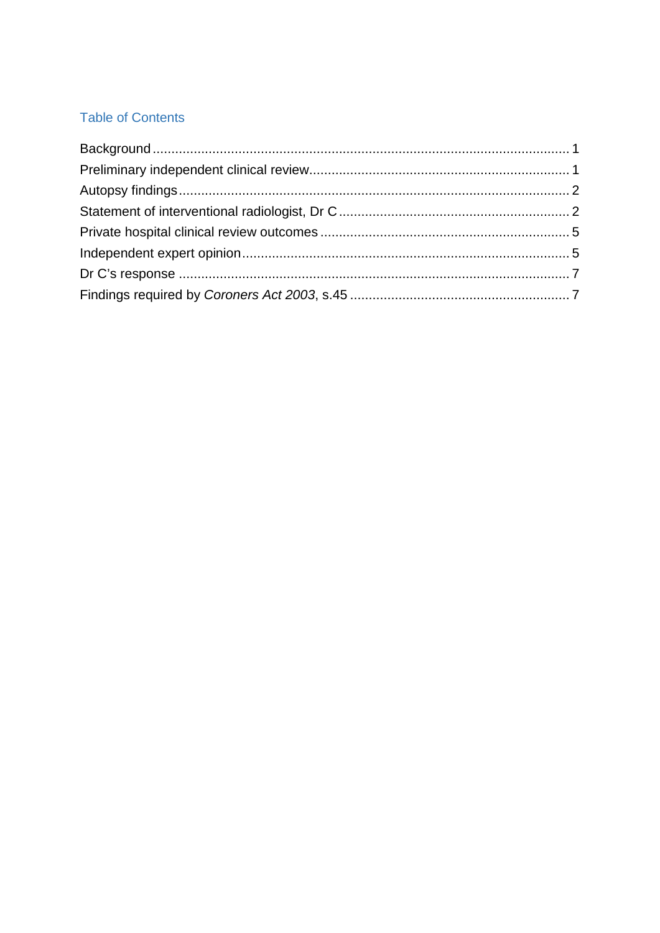# **Table of Contents**

<span id="page-1-0"></span>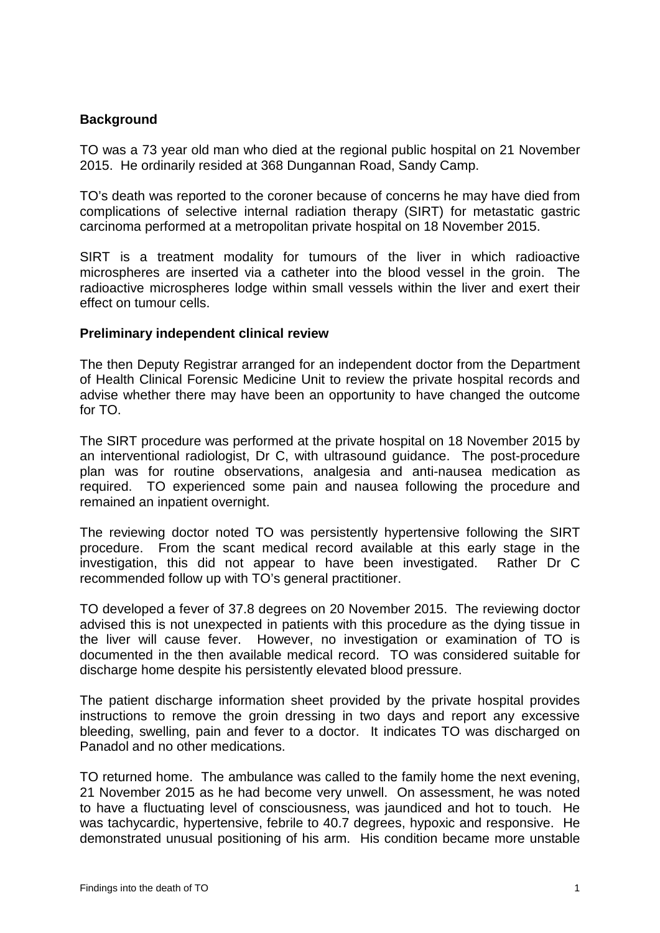### **Background**

TO was a 73 year old man who died at the regional public hospital on 21 November 2015. He ordinarily resided at 368 Dungannan Road, Sandy Camp.

TO's death was reported to the coroner because of concerns he may have died from complications of selective internal radiation therapy (SIRT) for metastatic gastric carcinoma performed at a metropolitan private hospital on 18 November 2015.

SIRT is a treatment modality for tumours of the liver in which radioactive microspheres are inserted via a catheter into the blood vessel in the groin. The radioactive microspheres lodge within small vessels within the liver and exert their effect on tumour cells.

#### **Preliminary independent clinical review**

The then Deputy Registrar arranged for an independent doctor from the Department of Health Clinical Forensic Medicine Unit to review the private hospital records and advise whether there may have been an opportunity to have changed the outcome for TO.

The SIRT procedure was performed at the private hospital on 18 November 2015 by an interventional radiologist, Dr C, with ultrasound guidance. The post-procedure plan was for routine observations, analgesia and anti-nausea medication as required. TO experienced some pain and nausea following the procedure and remained an inpatient overnight.

The reviewing doctor noted TO was persistently hypertensive following the SIRT procedure. From the scant medical record available at this early stage in the investigation, this did not appear to have been investigated. Rather Dr C recommended follow up with TO's general practitioner.

TO developed a fever of 37.8 degrees on 20 November 2015. The reviewing doctor advised this is not unexpected in patients with this procedure as the dying tissue in the liver will cause fever. However, no investigation or examination of TO is documented in the then available medical record. TO was considered suitable for discharge home despite his persistently elevated blood pressure.

The patient discharge information sheet provided by the private hospital provides instructions to remove the groin dressing in two days and report any excessive bleeding, swelling, pain and fever to a doctor. It indicates TO was discharged on Panadol and no other medications.

TO returned home. The ambulance was called to the family home the next evening, 21 November 2015 as he had become very unwell. On assessment, he was noted to have a fluctuating level of consciousness, was jaundiced and hot to touch. He was tachycardic, hypertensive, febrile to 40.7 degrees, hypoxic and responsive. He demonstrated unusual positioning of his arm. His condition became more unstable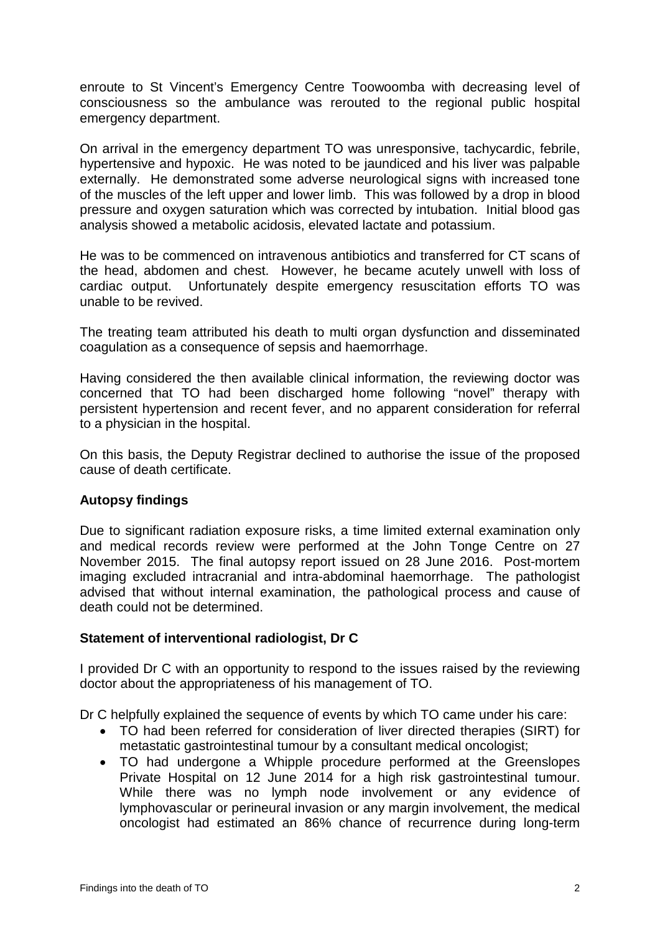enroute to St Vincent's Emergency Centre Toowoomba with decreasing level of consciousness so the ambulance was rerouted to the regional public hospital emergency department.

On arrival in the emergency department TO was unresponsive, tachycardic, febrile, hypertensive and hypoxic. He was noted to be jaundiced and his liver was palpable externally. He demonstrated some adverse neurological signs with increased tone of the muscles of the left upper and lower limb. This was followed by a drop in blood pressure and oxygen saturation which was corrected by intubation. Initial blood gas analysis showed a metabolic acidosis, elevated lactate and potassium.

He was to be commenced on intravenous antibiotics and transferred for CT scans of the head, abdomen and chest. However, he became acutely unwell with loss of cardiac output. Unfortunately despite emergency resuscitation efforts TO was unable to be revived.

The treating team attributed his death to multi organ dysfunction and disseminated coagulation as a consequence of sepsis and haemorrhage.

Having considered the then available clinical information, the reviewing doctor was concerned that TO had been discharged home following "novel" therapy with persistent hypertension and recent fever, and no apparent consideration for referral to a physician in the hospital.

On this basis, the Deputy Registrar declined to authorise the issue of the proposed cause of death certificate.

## **Autopsy findings**

Due to significant radiation exposure risks, a time limited external examination only and medical records review were performed at the John Tonge Centre on 27 November 2015. The final autopsy report issued on 28 June 2016. Post-mortem imaging excluded intracranial and intra-abdominal haemorrhage. The pathologist advised that without internal examination, the pathological process and cause of death could not be determined.

#### **Statement of interventional radiologist, Dr C**

I provided Dr C with an opportunity to respond to the issues raised by the reviewing doctor about the appropriateness of his management of TO.

Dr C helpfully explained the sequence of events by which TO came under his care:

- TO had been referred for consideration of liver directed therapies (SIRT) for metastatic gastrointestinal tumour by a consultant medical oncologist;
- TO had undergone a Whipple procedure performed at the Greenslopes Private Hospital on 12 June 2014 for a high risk gastrointestinal tumour. While there was no lymph node involvement or any evidence of lymphovascular or perineural invasion or any margin involvement, the medical oncologist had estimated an 86% chance of recurrence during long-term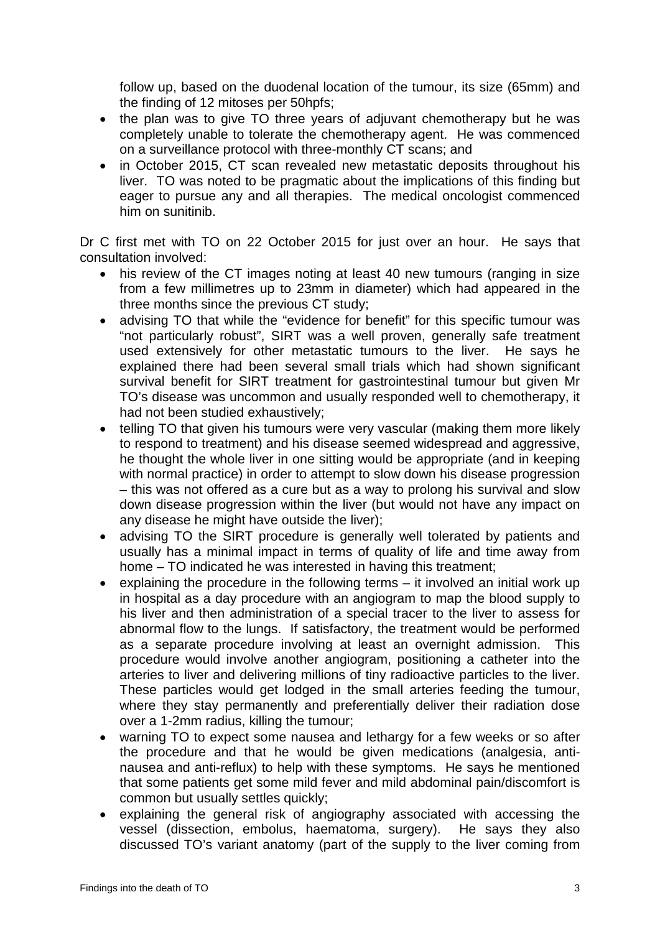follow up, based on the duodenal location of the tumour, its size (65mm) and the finding of 12 mitoses per 50hpfs;

- the plan was to give TO three years of adjuvant chemotherapy but he was completely unable to tolerate the chemotherapy agent. He was commenced on a surveillance protocol with three-monthly CT scans; and
- in October 2015, CT scan revealed new metastatic deposits throughout his liver. TO was noted to be pragmatic about the implications of this finding but eager to pursue any and all therapies. The medical oncologist commenced him on sunitinib.

Dr C first met with TO on 22 October 2015 for just over an hour. He says that consultation involved:

- his review of the CT images noting at least 40 new tumours (ranging in size from a few millimetres up to 23mm in diameter) which had appeared in the three months since the previous CT study;
- advising TO that while the "evidence for benefit" for this specific tumour was "not particularly robust", SIRT was a well proven, generally safe treatment used extensively for other metastatic tumours to the liver. He says he explained there had been several small trials which had shown significant survival benefit for SIRT treatment for gastrointestinal tumour but given Mr TO's disease was uncommon and usually responded well to chemotherapy, it had not been studied exhaustively;
- telling TO that given his tumours were very vascular (making them more likely to respond to treatment) and his disease seemed widespread and aggressive, he thought the whole liver in one sitting would be appropriate (and in keeping with normal practice) in order to attempt to slow down his disease progression – this was not offered as a cure but as a way to prolong his survival and slow down disease progression within the liver (but would not have any impact on any disease he might have outside the liver);
- advising TO the SIRT procedure is generally well tolerated by patients and usually has a minimal impact in terms of quality of life and time away from home – TO indicated he was interested in having this treatment;
- explaining the procedure in the following terms it involved an initial work up in hospital as a day procedure with an angiogram to map the blood supply to his liver and then administration of a special tracer to the liver to assess for abnormal flow to the lungs. If satisfactory, the treatment would be performed as a separate procedure involving at least an overnight admission. This procedure would involve another angiogram, positioning a catheter into the arteries to liver and delivering millions of tiny radioactive particles to the liver. These particles would get lodged in the small arteries feeding the tumour, where they stay permanently and preferentially deliver their radiation dose over a 1-2mm radius, killing the tumour;
- warning TO to expect some nausea and lethargy for a few weeks or so after the procedure and that he would be given medications (analgesia, antinausea and anti-reflux) to help with these symptoms. He says he mentioned that some patients get some mild fever and mild abdominal pain/discomfort is common but usually settles quickly;
- explaining the general risk of angiography associated with accessing the vessel (dissection, embolus, haematoma, surgery). He says they also discussed TO's variant anatomy (part of the supply to the liver coming from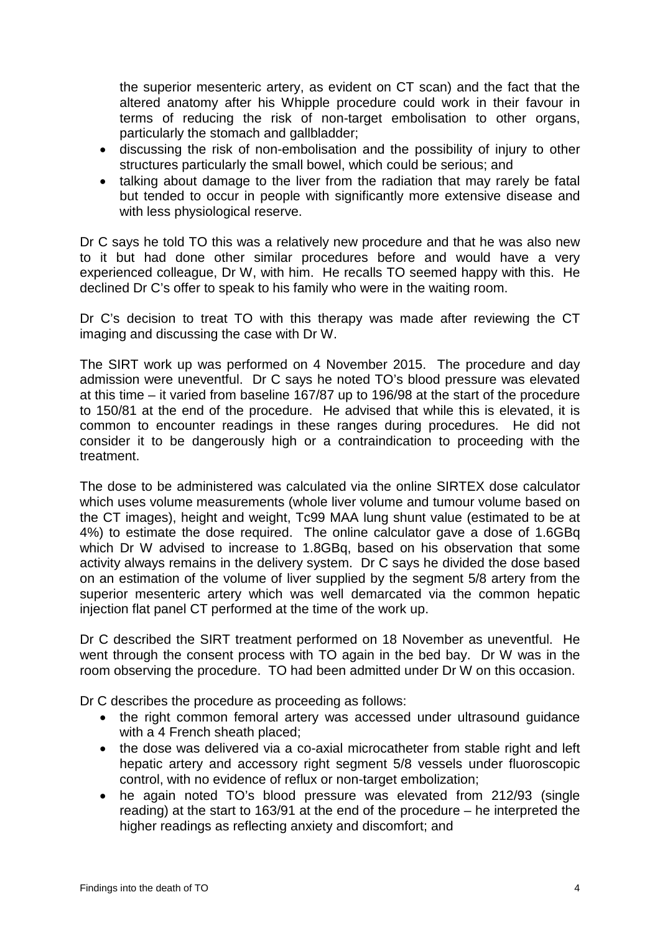the superior mesenteric artery, as evident on CT scan) and the fact that the altered anatomy after his Whipple procedure could work in their favour in terms of reducing the risk of non-target embolisation to other organs, particularly the stomach and gallbladder;

- discussing the risk of non-embolisation and the possibility of injury to other structures particularly the small bowel, which could be serious; and
- talking about damage to the liver from the radiation that may rarely be fatal but tended to occur in people with significantly more extensive disease and with less physiological reserve.

Dr C says he told TO this was a relatively new procedure and that he was also new to it but had done other similar procedures before and would have a very experienced colleague, Dr W, with him. He recalls TO seemed happy with this. He declined Dr C's offer to speak to his family who were in the waiting room.

Dr C's decision to treat TO with this therapy was made after reviewing the CT imaging and discussing the case with Dr W.

The SIRT work up was performed on 4 November 2015. The procedure and day admission were uneventful. Dr C says he noted TO's blood pressure was elevated at this time – it varied from baseline 167/87 up to 196/98 at the start of the procedure to 150/81 at the end of the procedure. He advised that while this is elevated, it is common to encounter readings in these ranges during procedures. He did not consider it to be dangerously high or a contraindication to proceeding with the treatment.

The dose to be administered was calculated via the online SIRTEX dose calculator which uses volume measurements (whole liver volume and tumour volume based on the CT images), height and weight, Tc99 MAA lung shunt value (estimated to be at 4%) to estimate the dose required. The online calculator gave a dose of 1.6GBq which Dr W advised to increase to 1.8GBq, based on his observation that some activity always remains in the delivery system. Dr C says he divided the dose based on an estimation of the volume of liver supplied by the segment 5/8 artery from the superior mesenteric artery which was well demarcated via the common hepatic injection flat panel CT performed at the time of the work up.

Dr C described the SIRT treatment performed on 18 November as uneventful. He went through the consent process with TO again in the bed bay. Dr W was in the room observing the procedure. TO had been admitted under Dr W on this occasion.

Dr C describes the procedure as proceeding as follows:

- the right common femoral artery was accessed under ultrasound quidance with a 4 French sheath placed;
- the dose was delivered via a co-axial microcatheter from stable right and left hepatic artery and accessory right segment 5/8 vessels under fluoroscopic control, with no evidence of reflux or non-target embolization;
- he again noted TO's blood pressure was elevated from 212/93 (single reading) at the start to 163/91 at the end of the procedure – he interpreted the higher readings as reflecting anxiety and discomfort; and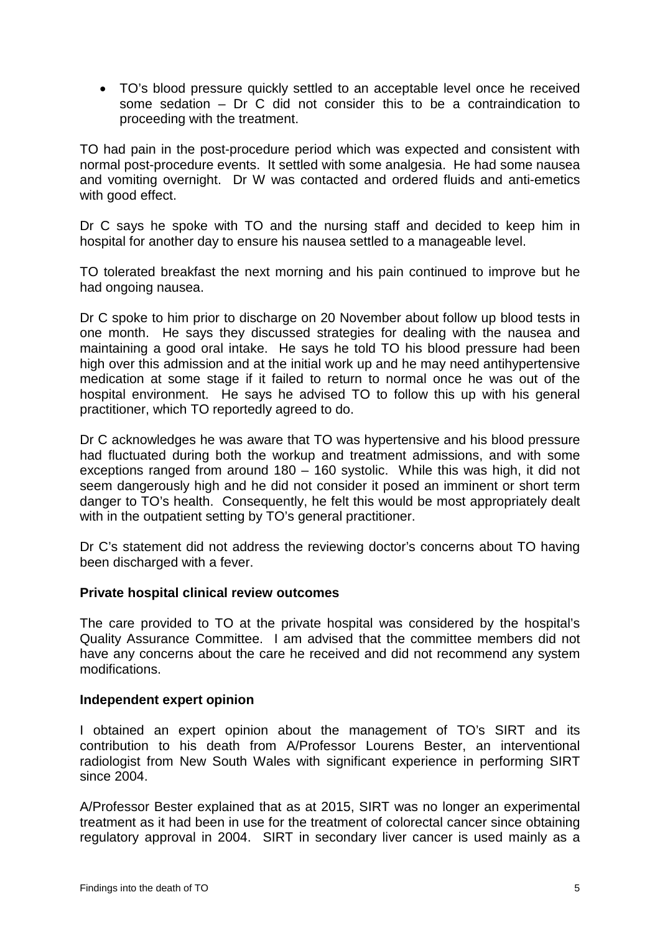• TO's blood pressure quickly settled to an acceptable level once he received some sedation – Dr C did not consider this to be a contraindication to proceeding with the treatment.

TO had pain in the post-procedure period which was expected and consistent with normal post-procedure events. It settled with some analgesia. He had some nausea and vomiting overnight. Dr W was contacted and ordered fluids and anti-emetics with good effect.

Dr C says he spoke with TO and the nursing staff and decided to keep him in hospital for another day to ensure his nausea settled to a manageable level.

TO tolerated breakfast the next morning and his pain continued to improve but he had ongoing nausea.

Dr C spoke to him prior to discharge on 20 November about follow up blood tests in one month. He says they discussed strategies for dealing with the nausea and maintaining a good oral intake. He says he told TO his blood pressure had been high over this admission and at the initial work up and he may need antihypertensive medication at some stage if it failed to return to normal once he was out of the hospital environment. He says he advised TO to follow this up with his general practitioner, which TO reportedly agreed to do.

Dr C acknowledges he was aware that TO was hypertensive and his blood pressure had fluctuated during both the workup and treatment admissions, and with some exceptions ranged from around 180 – 160 systolic. While this was high, it did not seem dangerously high and he did not consider it posed an imminent or short term danger to TO's health. Consequently, he felt this would be most appropriately dealt with in the outpatient setting by TO's general practitioner.

Dr C's statement did not address the reviewing doctor's concerns about TO having been discharged with a fever.

#### **Private hospital clinical review outcomes**

The care provided to TO at the private hospital was considered by the hospital's Quality Assurance Committee. I am advised that the committee members did not have any concerns about the care he received and did not recommend any system modifications.

#### **Independent expert opinion**

I obtained an expert opinion about the management of TO's SIRT and its contribution to his death from A/Professor Lourens Bester, an interventional radiologist from New South Wales with significant experience in performing SIRT since 2004.

A/Professor Bester explained that as at 2015, SIRT was no longer an experimental treatment as it had been in use for the treatment of colorectal cancer since obtaining regulatory approval in 2004. SIRT in secondary liver cancer is used mainly as a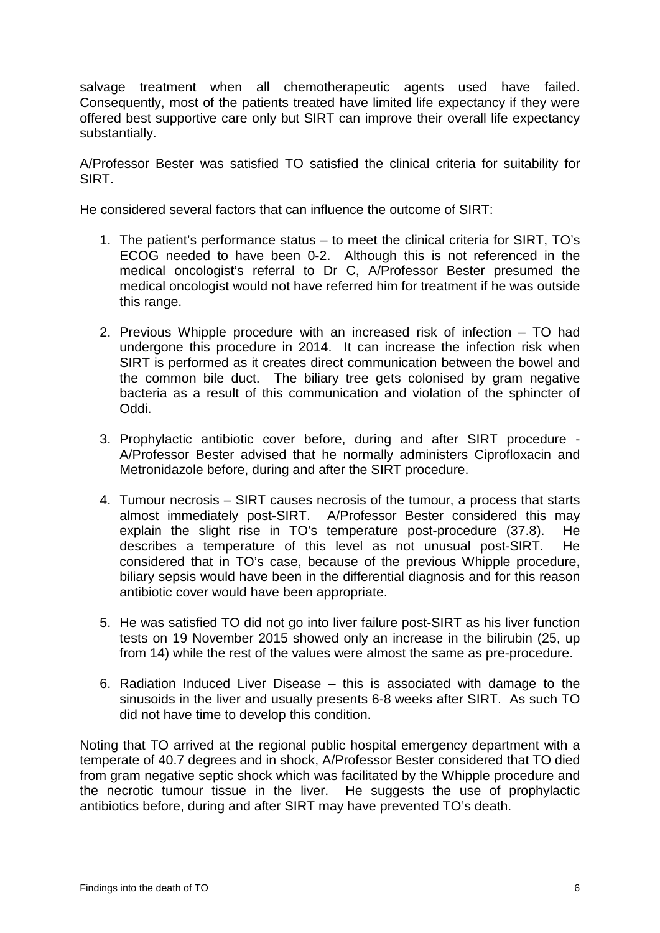salvage treatment when all chemotherapeutic agents used have failed. Consequently, most of the patients treated have limited life expectancy if they were offered best supportive care only but SIRT can improve their overall life expectancy substantially.

A/Professor Bester was satisfied TO satisfied the clinical criteria for suitability for SIRT.

He considered several factors that can influence the outcome of SIRT:

- 1. The patient's performance status to meet the clinical criteria for SIRT, TO's ECOG needed to have been 0-2. Although this is not referenced in the medical oncologist's referral to Dr C, A/Professor Bester presumed the medical oncologist would not have referred him for treatment if he was outside this range.
- 2. Previous Whipple procedure with an increased risk of infection TO had undergone this procedure in 2014. It can increase the infection risk when SIRT is performed as it creates direct communication between the bowel and the common bile duct. The biliary tree gets colonised by gram negative bacteria as a result of this communication and violation of the sphincter of Oddi.
- 3. Prophylactic antibiotic cover before, during and after SIRT procedure A/Professor Bester advised that he normally administers Ciprofloxacin and Metronidazole before, during and after the SIRT procedure.
- 4. Tumour necrosis SIRT causes necrosis of the tumour, a process that starts almost immediately post-SIRT. A/Professor Bester considered this may explain the slight rise in TO's temperature post-procedure (37.8). He describes a temperature of this level as not unusual post-SIRT. He considered that in TO's case, because of the previous Whipple procedure, biliary sepsis would have been in the differential diagnosis and for this reason antibiotic cover would have been appropriate.
- 5. He was satisfied TO did not go into liver failure post-SIRT as his liver function tests on 19 November 2015 showed only an increase in the bilirubin (25, up from 14) while the rest of the values were almost the same as pre-procedure.
- 6. Radiation Induced Liver Disease this is associated with damage to the sinusoids in the liver and usually presents 6-8 weeks after SIRT. As such TO did not have time to develop this condition.

Noting that TO arrived at the regional public hospital emergency department with a temperate of 40.7 degrees and in shock, A/Professor Bester considered that TO died from gram negative septic shock which was facilitated by the Whipple procedure and the necrotic tumour tissue in the liver. He suggests the use of prophylactic antibiotics before, during and after SIRT may have prevented TO's death.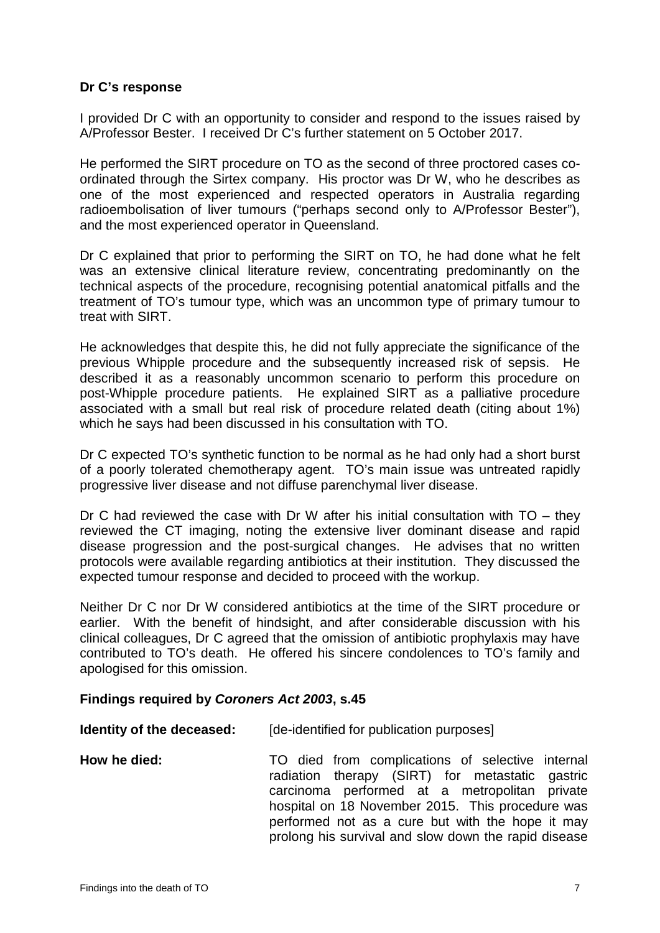#### **Dr C's response**

I provided Dr C with an opportunity to consider and respond to the issues raised by A/Professor Bester. I received Dr C's further statement on 5 October 2017.

He performed the SIRT procedure on TO as the second of three proctored cases coordinated through the Sirtex company. His proctor was Dr W, who he describes as one of the most experienced and respected operators in Australia regarding radioembolisation of liver tumours ("perhaps second only to A/Professor Bester"), and the most experienced operator in Queensland.

Dr C explained that prior to performing the SIRT on TO, he had done what he felt was an extensive clinical literature review, concentrating predominantly on the technical aspects of the procedure, recognising potential anatomical pitfalls and the treatment of TO's tumour type, which was an uncommon type of primary tumour to treat with SIRT.

He acknowledges that despite this, he did not fully appreciate the significance of the previous Whipple procedure and the subsequently increased risk of sepsis. He described it as a reasonably uncommon scenario to perform this procedure on post-Whipple procedure patients. He explained SIRT as a palliative procedure associated with a small but real risk of procedure related death (citing about 1%) which he says had been discussed in his consultation with TO.

Dr C expected TO's synthetic function to be normal as he had only had a short burst of a poorly tolerated chemotherapy agent. TO's main issue was untreated rapidly progressive liver disease and not diffuse parenchymal liver disease.

Dr C had reviewed the case with Dr W after his initial consultation with TO – they reviewed the CT imaging, noting the extensive liver dominant disease and rapid disease progression and the post-surgical changes. He advises that no written protocols were available regarding antibiotics at their institution. They discussed the expected tumour response and decided to proceed with the workup.

Neither Dr C nor Dr W considered antibiotics at the time of the SIRT procedure or earlier. With the benefit of hindsight, and after considerable discussion with his clinical colleagues, Dr C agreed that the omission of antibiotic prophylaxis may have contributed to TO's death. He offered his sincere condolences to TO's family and apologised for this omission.

#### **Findings required by** *Coroners Act 2003***, s.45**

| Identity of the deceased: | [de-identified for publication purposes]                                                                                                                                                                                                                                                                             |
|---------------------------|----------------------------------------------------------------------------------------------------------------------------------------------------------------------------------------------------------------------------------------------------------------------------------------------------------------------|
| How he died:              | TO died from complications of selective internal<br>radiation therapy (SIRT) for metastatic gastric<br>carcinoma performed at a metropolitan private<br>hospital on 18 November 2015. This procedure was<br>performed not as a cure but with the hope it may<br>prolong his survival and slow down the rapid disease |